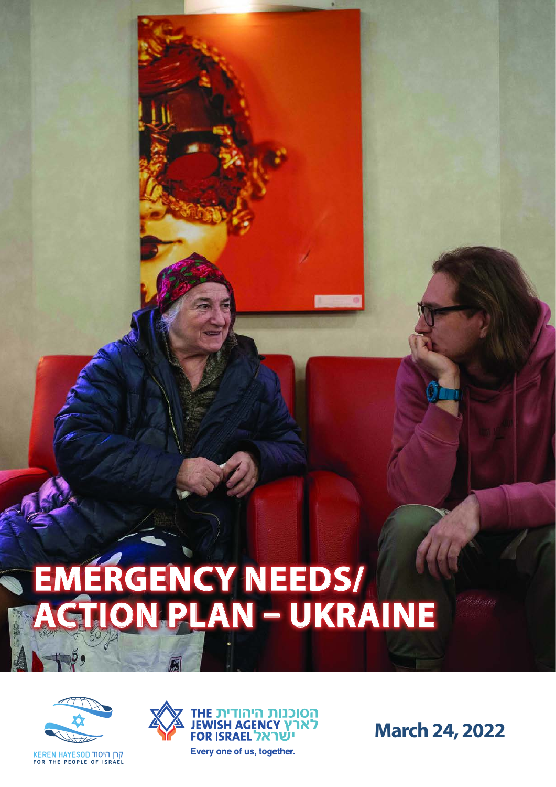## **EMERGENCY NEEDS/ ACTION PLAN - UKRAINE**



קרן היסוד KEREN HAYESOD<br>FOR THE PEOPLE OF ISRAEL



הסוכנות היהודית THE **JEWISH AGENCY לארץ** ישׁראל FOR ISRAEL Every one of us, together.

**March 24, 2022**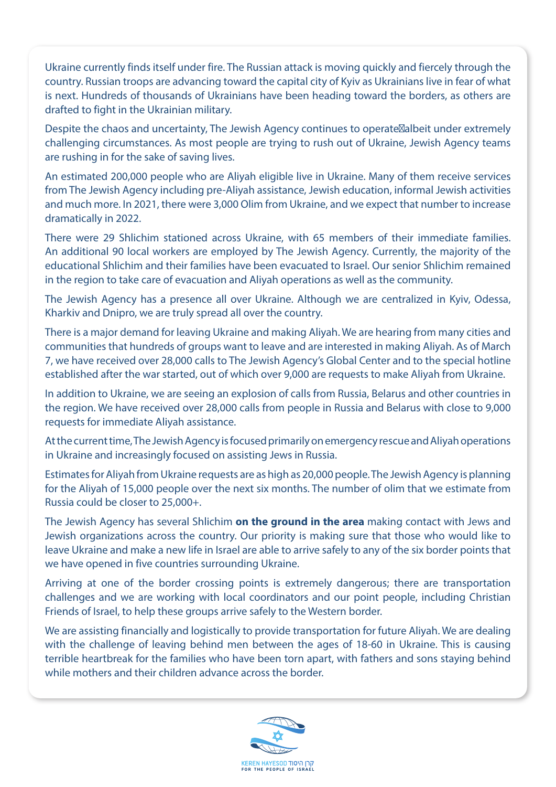Ukraine currently finds itself under fire. The Russian attack is moving quickly and fiercely through the country. Russian troops are advancing toward the capital city of Kyiv as Ukrainians live in fear of what is next. Hundreds of thousands of Ukrainians have been heading toward the borders, as others are drafted to fight in the Ukrainian military.

Despite the chaos and uncertainty, The Jewish Agency continues to operate albeit under extremely challenging circumstances. As most people are trying to rush out of Ukraine, Jewish Agency teams are rushing in for the sake of saving lives.

An estimated 200,000 people who are Aliyah eligible live in Ukraine. Many of them receive services from The Jewish Agency including pre-Aliyah assistance, Jewish education, informal Jewish activities and much more. In 2021, there were 3,000 Olim from Ukraine, and we expect that number to increase dramatically in 2022.

There were 29 Shlichim stationed across Ukraine, with 65 members of their immediate families. An additional 90 local workers are employed by The Jewish Agency. Currently, the majority of the educational Shlichim and their families have been evacuated to Israel. Our senior Shlichim remained in the region to take care of evacuation and Aliyah operations as well as the community.

The Jewish Agency has a presence all over Ukraine. Although we are centralized in Kyiv, Odessa, Kharkiv and Dnipro, we are truly spread all over the country.

There is a major demand for leaving Ukraine and making Aliyah. We are hearing from many cities and communities that hundreds of groups want to leave and are interested in making Aliyah. As of March 7, we have received over 28,000 calls to The Jewish Agency's Global Center and to the special hotline established after the war started, out of which over 9,000 are requests to make Aliyah from Ukraine.

In addition to Ukraine, we are seeing an explosion of calls from Russia, Belarus and other countries in the region. We have received over 28,000 calls from people in Russia and Belarus with close to 9,000 requests for immediate Aliyah assistance.

At the current time, The Jewish Agency is focused primarily on emergency rescue and Aliyah operations in Ukraine and increasingly focused on assisting Jews in Russia.

Estimates for Aliyah from Ukraine requests are as high as 20,000 people. The Jewish Agency is planning for the Aliyah of 15,000 people over the next six months. The number of olim that we estimate from Russia could be closer to 25,000+.

The Jewish Agency has several Shlichim **on the ground in the area** making contact with Jews and Jewish organizations across the country. Our priority is making sure that those who would like to leave Ukraine and make a new life in Israel are able to arrive safely to any of the six border points that we have opened in five countries surrounding Ukraine.

Arriving at one of the border crossing points is extremely dangerous; there are transportation challenges and we are working with local coordinators and our point people, including Christian Friends of Israel, to help these groups arrive safely to the Western border.

We are assisting financially and logistically to provide transportation for future Aliyah. We are dealing with the challenge of leaving behind men between the ages of 18-60 in Ukraine. This is causing terrible heartbreak for the families who have been torn apart, with fathers and sons staying behind while mothers and their children advance across the border.

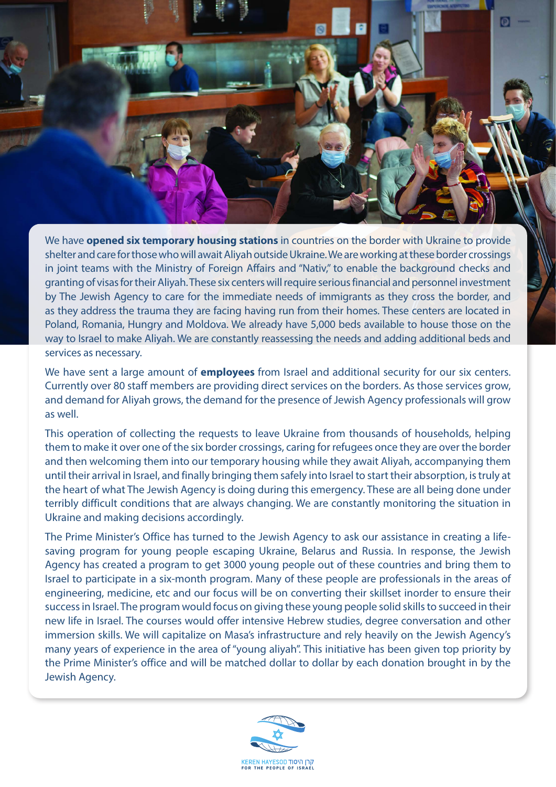We have **opened six temporary housing stations** in countries on the border with Ukraine to provide shelter and care for those who will await Aliyah outside Ukraine. We are working at these border crossings in joint teams with the Ministry of Foreign Affairs and "Nativ," to enable the background checks and granting of visas for their Aliyah. These six centers will require serious financial and personnel investment by The Jewish Agency to care for the immediate needs of immigrants as they cross the border, and as they address the trauma they are facing having run from their homes. These centers are located in Poland, Romania, Hungry and Moldova. We already have 5,000 beds available to house those on the way to Israel to make Aliyah. We are constantly reassessing the needs and adding additional beds and services as necessary.

We have sent a large amount of **employees** from Israel and additional security for our six centers. Currently over 80 staff members are providing direct services on the borders. As those services grow, and demand for Aliyah grows, the demand for the presence of Jewish Agency professionals will grow as well.

This operation of collecting the requests to leave Ukraine from thousands of households, helping them to make it over one of the six border crossings, caring for refugees once they are over the border and then welcoming them into our temporary housing while they await Aliyah, accompanying them until their arrival in Israel, and finally bringing them safely into Israel to start their absorption, is truly at the heart of what The Jewish Agency is doing during this emergency. These are all being done under terribly difficult conditions that are always changing. We are constantly monitoring the situation in Ukraine and making decisions accordingly.

saving program for young people escaping Ukraine, Belarus and Russia. In response, the Jewish The Prime Minister's Office has turned to the Jewish Agency to ask our assistance in creating a life-Agency has created a program to get 3000 young people out of these countries and bring them to Israel to participate in a six-month program. Many of these people are professionals in the areas of engineering, medicine, etc and our focus will be on converting their skillset inorder to ensure their success in Israel. The program would focus on giving these young people solid skills to succeed in their new life in Israel. The courses would offer intensive Hebrew studies, degree conversation and other immersion skills. We will capitalize on Masa's infrastructure and rely heavily on the Jewish Agency's many years of experience in the area of "young aliyah". This initiative has been given top priority by the Prime Minister's office and will be matched dollar to dollar by each donation brought in by the Jewish Agency.

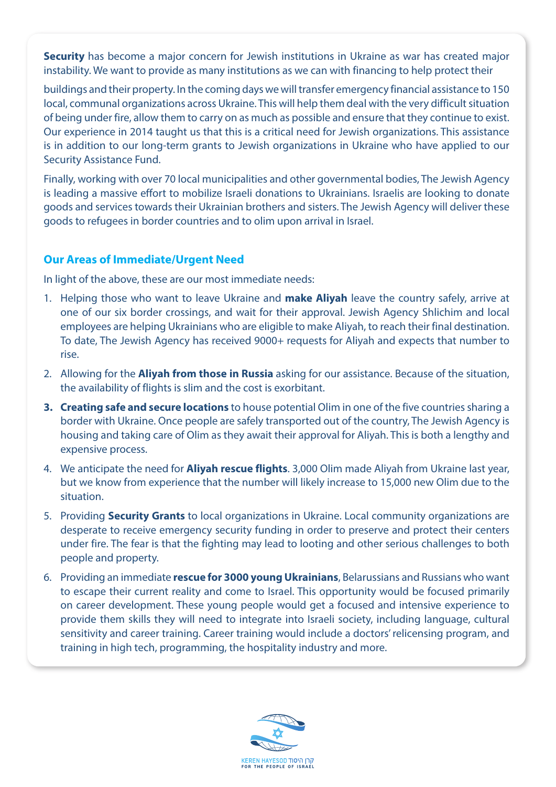**Security** has become a major concern for Jewish institutions in Ukraine as war has created major instability. We want to provide as many institutions as we can with financing to help protect their

buildings and their property. In the coming days we will transfer emergency financial assistance to 150 local, communal organizations across Ukraine. This will help them deal with the very difficult situation of being under fire, allow them to carry on as much as possible and ensure that they continue to exist. Our experience in 2014 taught us that this is a critical need for Jewish organizations. This assistance is in addition to our long-term grants to Jewish organizations in Ukraine who have applied to our Security Assistance Fund.

Finally, working with over 70 local municipalities and other governmental bodies, The Jewish Agency is leading a massive effort to mobilize Israeli donations to Ukrainians. Israelis are looking to donate goods and services towards their Ukrainian brothers and sisters. The Jewish Agency will deliver these goods to refugees in border countries and to olim upon arrival in Israel.

## **Our Areas of Immediate/Urgent Need**

In light of the above, these are our most immediate needs:

- 1. Helping those who want to leave Ukraine and **make Aliyah** leave the country safely, arrive at one of our six border crossings, and wait for their approval. Jewish Agency Shlichim and local employees are helping Ukrainians who are eligible to make Aliyah, to reach their final destination. To date, The Jewish Agency has received 9000+ requests for Aliyah and expects that number to .rise
- 2. Allowing for the **Aliyah from those in Russia** asking for our assistance. Because of the situation, the availability of flights is slim and the cost is exorbitant.
- 3. Creating safe and secure locations to house potential Olim in one of the five countries sharing a border with Ukraine. Once people are safely transported out of the country, The Jewish Agency is housing and taking care of Olim as they await their approval for Alivah. This is both a lengthy and expensive process.
- 4. We anticipate the need for **Aliyah rescue flights**. 3,000 Olim made Aliyah from Ukraine last year, but we know from experience that the number will likely increase to 15,000 new Olim due to the situation.
- 5. Providing **Security Grants** to local organizations in Ukraine. Local community organizations are desperate to receive emergency security funding in order to preserve and protect their centers under fire. The fear is that the fighting may lead to looting and other serious challenges to both people and property.
- 6. Providing an immediate **rescue for 3000 young Ukrainians**, Belarussians and Russians who want to escape their current reality and come to Israel. This opportunity would be focused primarily on career development. These young people would get a focused and intensive experience to provide them skills they will need to integrate into Israeli society, including language, cultural sensitivity and career training. Career training would include a doctors' relicensing program, and training in high tech, programming, the hospitality industry and more.

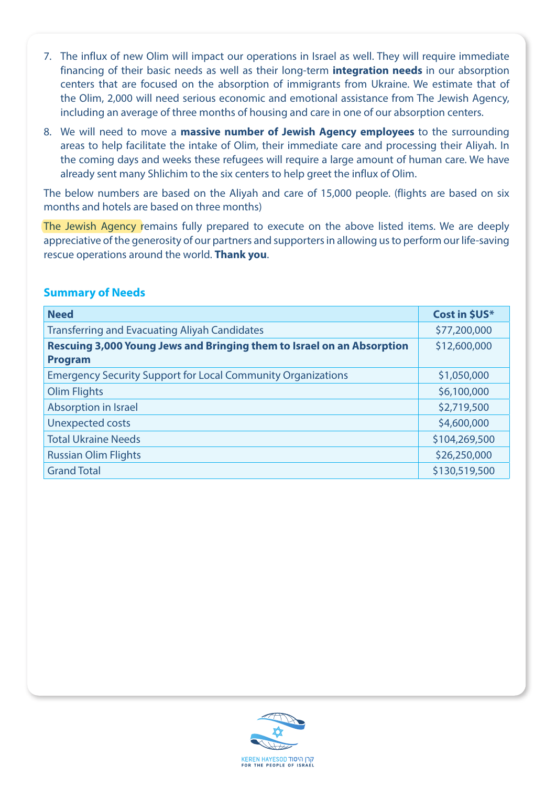- 7. The influx of new Olim will impact our operations in Israel as well. They will require immediate financing of their basic needs as well as their long-term **integration needs** in our absorption centers that are focused on the absorption of immigrants from Ukraine. We estimate that of the Olim, 2,000 will need serious economic and emotional assistance from The Jewish Agency, including an average of three months of housing and care in one of our absorption centers.
- 8. We will need to move a **massive number of Jewish Agency employees** to the surrounding areas to help facilitate the intake of Olim, their immediate care and processing their Aliyah. In the coming days and weeks these refugees will require a large amount of human care. We have already sent many Shlichim to the six centers to help greet the influx of Olim.

The below numbers are based on the Aliyah and care of 15,000 people. (flights are based on six months and hotels are based on three months)

The Jewish Agency remains fully prepared to execute on the above listed items. We are deeply appreciative of the generosity of our partners and supporters in allowing us to perform our life-saving rescue operations around the world. **Thank you**.

| <b>Need</b>                                                                              | Cost in \$US* |
|------------------------------------------------------------------------------------------|---------------|
| <b>Transferring and Evacuating Aliyah Candidates</b>                                     | \$77,200,000  |
| Rescuing 3,000 Young Jews and Bringing them to Israel on an Absorption<br><b>Program</b> | \$12,600,000  |
| <b>Emergency Security Support for Local Community Organizations</b>                      | \$1,050,000   |
| <b>Olim Flights</b>                                                                      | \$6,100,000   |
| Absorption in Israel                                                                     | \$2,719,500   |
| <b>Unexpected costs</b>                                                                  | \$4,600,000   |
| <b>Total Ukraine Needs</b>                                                               | \$104,269,500 |
| <b>Russian Olim Flights</b>                                                              | \$26,250,000  |
| <b>Grand Total</b>                                                                       | \$130,519,500 |

## **Summary of Needs**